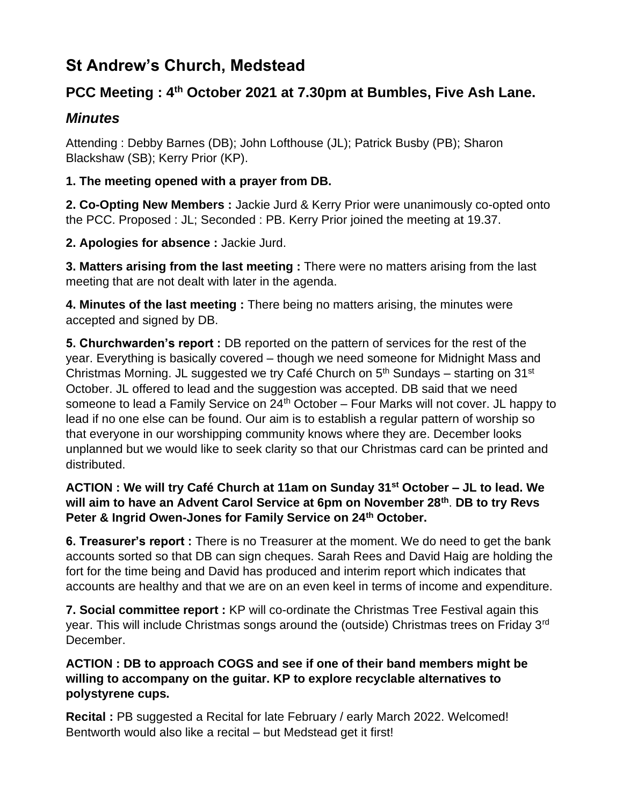# **St Andrew's Church, Medstead**

# **PCC Meeting : 4th October 2021 at 7.30pm at Bumbles, Five Ash Lane.**

# *Minutes*

Attending : Debby Barnes (DB); John Lofthouse (JL); Patrick Busby (PB); Sharon Blackshaw (SB); Kerry Prior (KP).

# **1. The meeting opened with a prayer from DB.**

**2. Co-Opting New Members :** Jackie Jurd & Kerry Prior were unanimously co-opted onto the PCC. Proposed : JL; Seconded : PB. Kerry Prior joined the meeting at 19.37.

**2. Apologies for absence :** Jackie Jurd.

**3. Matters arising from the last meeting :** There were no matters arising from the last meeting that are not dealt with later in the agenda.

**4. Minutes of the last meeting :** There being no matters arising, the minutes were accepted and signed by DB.

**5. Churchwarden's report :** DB reported on the pattern of services for the rest of the year. Everything is basically covered – though we need someone for Midnight Mass and Christmas Morning. JL suggested we try Café Church on  $5<sup>th</sup>$  Sundays – starting on 31<sup>st</sup> October. JL offered to lead and the suggestion was accepted. DB said that we need someone to lead a Family Service on  $24<sup>th</sup>$  October – Four Marks will not cover. JL happy to lead if no one else can be found. Our aim is to establish a regular pattern of worship so that everyone in our worshipping community knows where they are. December looks unplanned but we would like to seek clarity so that our Christmas card can be printed and distributed.

# **ACTION : We will try Café Church at 11am on Sunday 31st October – JL to lead. We will aim to have an Advent Carol Service at 6pm on November 28th** . **DB to try Revs Peter & Ingrid Owen-Jones for Family Service on 24th October.**

**6. Treasurer's report :** There is no Treasurer at the moment. We do need to get the bank accounts sorted so that DB can sign cheques. Sarah Rees and David Haig are holding the fort for the time being and David has produced and interim report which indicates that accounts are healthy and that we are on an even keel in terms of income and expenditure.

**7. Social committee report :** KP will co-ordinate the Christmas Tree Festival again this year. This will include Christmas songs around the (outside) Christmas trees on Friday 3rd December.

# **ACTION : DB to approach COGS and see if one of their band members might be willing to accompany on the guitar. KP to explore recyclable alternatives to polystyrene cups.**

**Recital :** PB suggested a Recital for late February / early March 2022. Welcomed! Bentworth would also like a recital – but Medstead get it first!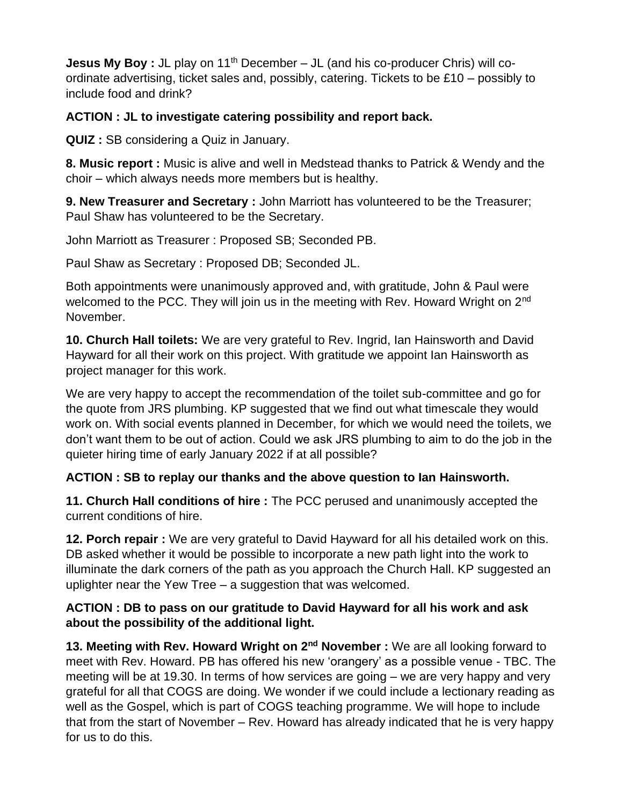**Jesus My Boy:** JL play on 11<sup>th</sup> December – JL (and his co-producer Chris) will coordinate advertising, ticket sales and, possibly, catering. Tickets to be £10 – possibly to include food and drink?

# **ACTION : JL to investigate catering possibility and report back.**

**QUIZ :** SB considering a Quiz in January.

**8. Music report :** Music is alive and well in Medstead thanks to Patrick & Wendy and the choir – which always needs more members but is healthy.

**9. New Treasurer and Secretary :** John Marriott has volunteered to be the Treasurer; Paul Shaw has volunteered to be the Secretary.

John Marriott as Treasurer : Proposed SB; Seconded PB.

Paul Shaw as Secretary : Proposed DB; Seconded JL.

Both appointments were unanimously approved and, with gratitude, John & Paul were welcomed to the PCC. They will join us in the meeting with Rev. Howard Wright on 2<sup>nd</sup> November.

**10. Church Hall toilets:** We are very grateful to Rev. Ingrid, Ian Hainsworth and David Hayward for all their work on this project. With gratitude we appoint Ian Hainsworth as project manager for this work.

We are very happy to accept the recommendation of the toilet sub-committee and go for the quote from JRS plumbing. KP suggested that we find out what timescale they would work on. With social events planned in December, for which we would need the toilets, we don't want them to be out of action. Could we ask JRS plumbing to aim to do the job in the quieter hiring time of early January 2022 if at all possible?

# **ACTION : SB to replay our thanks and the above question to Ian Hainsworth.**

**11. Church Hall conditions of hire :** The PCC perused and unanimously accepted the current conditions of hire.

**12. Porch repair :** We are very grateful to David Hayward for all his detailed work on this. DB asked whether it would be possible to incorporate a new path light into the work to illuminate the dark corners of the path as you approach the Church Hall. KP suggested an uplighter near the Yew Tree – a suggestion that was welcomed.

## **ACTION : DB to pass on our gratitude to David Hayward for all his work and ask about the possibility of the additional light.**

**13. Meeting with Rev. Howard Wright on 2nd November :** We are all looking forward to meet with Rev. Howard. PB has offered his new 'orangery' as a possible venue - TBC. The meeting will be at 19.30. In terms of how services are going – we are very happy and very grateful for all that COGS are doing. We wonder if we could include a lectionary reading as well as the Gospel, which is part of COGS teaching programme. We will hope to include that from the start of November – Rev. Howard has already indicated that he is very happy for us to do this.